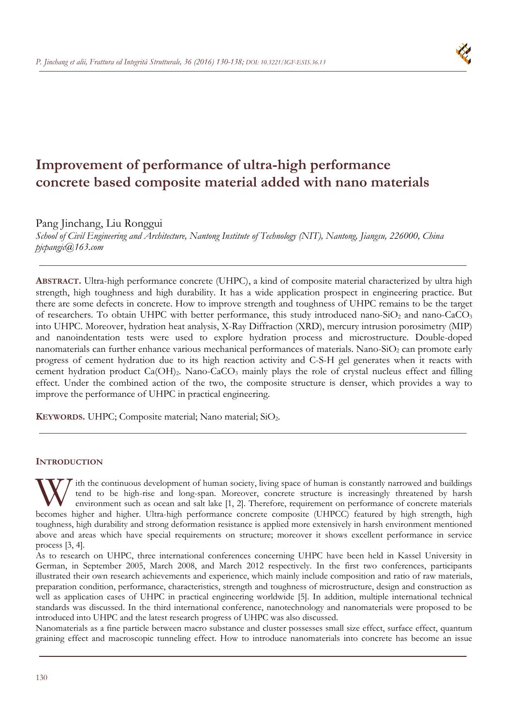

# **Improvement of performance of ultra-high performance concrete based composite material added with nano materials**

Pang Jinchang, Liu Ronggui

*School of Civil Engineering and Architecture, Nantong Institute of Technology (NIT), Nantong, Jiangsu, 226000, China pjcpangjc@163.com* 

**ABSTRACT.** Ultra-high performance concrete (UHPC), a kind of composite material characterized by ultra high strength, high toughness and high durability. It has a wide application prospect in engineering practice. But there are some defects in concrete. How to improve strength and toughness of UHPC remains to be the target of researchers. To obtain UHPC with better performance, this study introduced nano-SiO<sub>2</sub> and nano-CaCO<sub>3</sub> into UHPC. Moreover, hydration heat analysis, X-Ray Diffraction (XRD), mercury intrusion porosimetry (MIP) and nanoindentation tests were used to explore hydration process and microstructure. Double-doped nanomaterials can further enhance various mechanical performances of materials. Nano-SiO<sub>2</sub> can promote early progress of cement hydration due to its high reaction activity and C-S-H gel generates when it reacts with cement hydration product Ca(OH)<sub>2</sub>. Nano-CaCO<sub>3</sub> mainly plays the role of crystal nucleus effect and filling effect. Under the combined action of the two, the composite structure is denser, which provides a way to improve the performance of UHPC in practical engineering.

**KEYWORDS.** UHPC; Composite material; Nano material; SiO<sub>2</sub>.

## **INTRODUCTION**

ith the continuous development of human society, living space of human is constantly narrowed and buildings tend to be high-rise and long-span. Moreover, concrete structure is increasingly threatened by harsh environment such as ocean and salt lake [1, 2]. Therefore, requirement on performance of concrete materials W ith the continuous development of human society, living space of human is constantly narrowed and buildings<br>tend to be high-rise and long-span. Moreover, concrete structure is increasingly threatened by harsh<br>environment toughness, high durability and strong deformation resistance is applied more extensively in harsh environment mentioned above and areas which have special requirements on structure; moreover it shows excellent performance in service process [3, 4].

As to research on UHPC, three international conferences concerning UHPC have been held in Kassel University in German, in September 2005, March 2008, and March 2012 respectively. In the first two conferences, participants illustrated their own research achievements and experience, which mainly include composition and ratio of raw materials, preparation condition, performance, characteristics, strength and toughness of microstructure, design and construction as well as application cases of UHPC in practical engineering worldwide [5]. In addition, multiple international technical standards was discussed. In the third international conference, nanotechnology and nanomaterials were proposed to be introduced into UHPC and the latest research progress of UHPC was also discussed.

Nanomaterials as a fine particle between macro substance and cluster possesses small size effect, surface effect, quantum graining effect and macroscopic tunneling effect. How to introduce nanomaterials into concrete has become an issue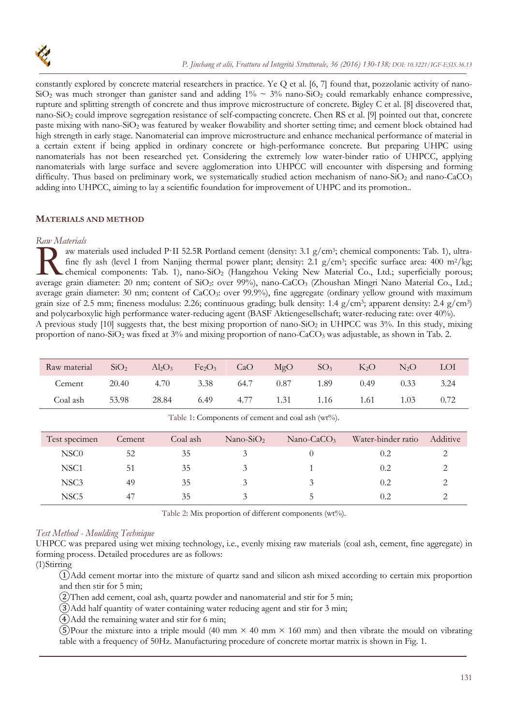

constantly explored by concrete material researchers in practice. Ye Q et al. [6, 7] found that, pozzolanic activity of nano- $SiO<sub>2</sub>$  was much stronger than ganister sand and adding  $1\% \sim 3\%$  nano-SiO<sub>2</sub> could remarkably enhance compressive, rupture and splitting strength of concrete and thus improve microstructure of concrete. Bigley C et al. [8] discovered that, nano-SiO<sub>2</sub> could improve segregation resistance of self-compacting concrete. Chen RS et al. [9] pointed out that, concrete paste mixing with nano-SiO<sub>2</sub> was featured by weaker flowability and shorter setting time; and cement block obtained had high strength in early stage. Nanomaterial can improve microstructure and enhance mechanical performance of material in a certain extent if being applied in ordinary concrete or high-performance concrete. But preparing UHPC using nanomaterials has not been researched yet. Considering the extremely low water-binder ratio of UHPCC, applying nanomaterials with large surface and severe agglomeration into UHPCC will encounter with dispersing and forming difficulty. Thus based on preliminary work, we systematically studied action mechanism of nano-SiO<sub>2</sub> and nano-CaCO<sub>3</sub> adding into UHPCC, aiming to lay a scientific foundation for improvement of UHPC and its promotion..

## **MATERIALS AND METHOD**

## *Raw Materials*

aw materials used included P·II 52.5R Portland cement (density: 3.1 g/cm3; chemical components: Tab. 1), ultrafine fly ash (level I from Nanjing thermal power plant; density: 2.1 g/cm<sup>3</sup>; specific surface area: 400 m<sup>2</sup>/kg; chemical components: Tab. 1), nano-SiO2 (Hangzhou Veking New Material Co., Ltd.; superficially porous; aw materials used included P·II 52.5R Portland cement (density: 3.1 g/cm<sup>3</sup>; chemical components: Tab. 1), ultra-<br>fine fly ash (level I from Nanjing thermal power plant; density: 2.1 g/cm<sup>3</sup>; specific surface area: 400 m<sup>2</sup> average grain diameter: 30 nm; content of CaCO<sub>3</sub>: over 99.9%), fine aggregate (ordinary yellow ground with maximum grain size of 2.5 mm; fineness modulus: 2.26; continuous grading; bulk density: 1.4 g/cm3; apparent density: 2.4 g/cm3) and polycarboxylic high performance water-reducing agent (BASF Aktiengesellschaft; water-reducing rate: over 40%). A previous study [10] suggests that, the best mixing proportion of nano-SiO<sub>2</sub> in UHPCC was 3%. In this study, mixing proportion of nano-SiO<sub>2</sub> was fixed at 3% and mixing proportion of nano-CaCO<sub>3</sub> was adjustable, as shown in Tab. 2.

| Raw material | SiO <sub>2</sub> | $Al_2O_3$ | $Fe2O3$ CaO         |      | MgO | SO <sub>3</sub>    | $K_2O$ | N <sub>2</sub> O | <b>LOI</b> |
|--------------|------------------|-----------|---------------------|------|-----|--------------------|--------|------------------|------------|
| Cement       | 20.40            | 4.70      | 3.38                | 64.7 |     | $0.87$ 1.89 $0.49$ |        | 0.33             | 3.24       |
| Coal ash     | 53.98            | 28.84     | 6.49 4.77 1.31 1.16 |      |     |                    | 1.61   | 1.03             | 0.72       |

| Table 1: Components of cement and coal ash (wt%). |  |  |
|---------------------------------------------------|--|--|
|                                                   |  |  |

| Test specimen    | Cement | Coal ash | $Nano-SiO2$ | Nano-CaCO <sub>3</sub> | Water-binder ratio | Additive |
|------------------|--------|----------|-------------|------------------------|--------------------|----------|
| NSC <sub>0</sub> | 52     | 35       |             |                        | 0.2                |          |
| NSC <sub>1</sub> | 51     | 35       |             |                        | 0.2                |          |
| NSC <sub>3</sub> | 49     | 35       |             |                        | 0.2                |          |
| NSC <sub>5</sub> | 47     | 35       |             |                        | 0.2                |          |

Table 2: Mix proportion of different components (wt%).

## *Test Method - Moulding Technique*

UHPCC was prepared using wet mixing technology, i.e., evenly mixing raw materials (coal ash, cement, fine aggregate) in forming process. Detailed procedures are as follows:

(1)Stirring

①Add cement mortar into the mixture of quartz sand and silicon ash mixed according to certain mix proportion and then stir for 5 min;

②Then add cement, coal ash, quartz powder and nanomaterial and stir for 5 min;

③Add half quantity of water containing water reducing agent and stir for 3 min;

④Add the remaining water and stir for 6 min;

G)Pour the mixture into a triple mould (40 mm  $\times$  40 mm  $\times$  160 mm) and then vibrate the mould on vibrating table with a frequency of 50Hz. Manufacturing procedure of concrete mortar matrix is shown in Fig. 1.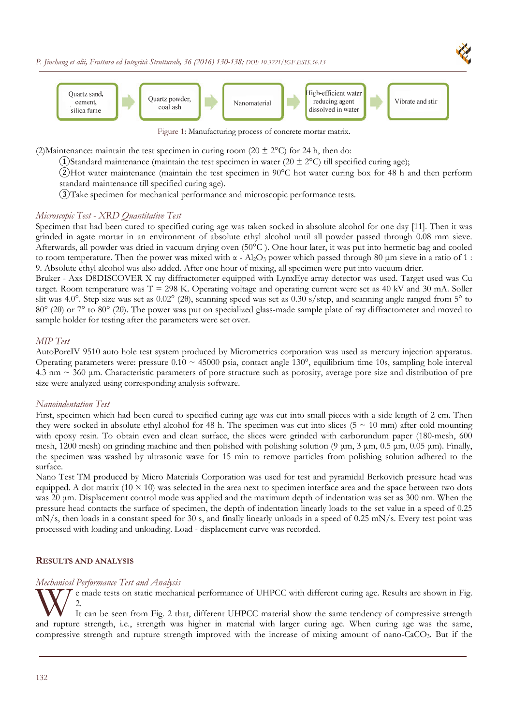

Figure 1: Manufacturing process of concrete mortar matrix.

(2)Maintenance: maintain the test specimen in curing room (20  $\pm$  2°C) for 24 h, then do:

(1)Standard maintenance (maintain the test specimen in water (20  $\pm$  2°C) till specified curing age);

②Hot water maintenance (maintain the test specimen in 90°C hot water curing box for 48 h and then perform standard maintenance till specified curing age).

③Take specimen for mechanical performance and microscopic performance tests.

### *Microscopic Test - XRD Quantitative Test*

Specimen that had been cured to specified curing age was taken socked in absolute alcohol for one day [11]. Then it was grinded in agate mortar in an environment of absolute ethyl alcohol until all powder passed through 0.08 mm sieve. Afterwards, all powder was dried in vacuum drying oven (50°C ). One hour later, it was put into hermetic bag and cooled to room temperature. Then the power was mixed with α - Al<sub>2</sub>O<sub>3</sub> power which passed through 80 μm sieve in a ratio of 1 : 9. Absolute ethyl alcohol was also added. After one hour of mixing, all specimen were put into vacuum drier.

Bruker - Axs D8DISCOVER X ray diffractometer equipped with LynxEye array detector was used. Target used was Cu target. Room temperature was  $T = 298$  K. Operating voltage and operating current were set as 40 kV and 30 mA. Soller slit was 4.0°. Step size was set as 0.02° (20), scanning speed was set as 0.30 s/step, and scanning angle ranged from 5° to 80° (2θ) or 7° to 80° (2θ). The power was put on specialized glass-made sample plate of ray diffractometer and moved to sample holder for testing after the parameters were set over.

#### *MIP Test*

AutoPoreIV 9510 auto hole test system produced by Micrometrics corporation was used as mercury injection apparatus. Operating parameters were: pressure  $0.10 \sim 45000$  psia, contact angle 130°, equilibrium time 10s, sampling hole interval  $4.3$  nm  $\sim$  360 µm. Characteristic parameters of pore structure such as porosity, average pore size and distribution of pre size were analyzed using corresponding analysis software.

#### *Nanoindentation Test*

First, specimen which had been cured to specified curing age was cut into small pieces with a side length of 2 cm. Then they were socked in absolute ethyl alcohol for 48 h. The specimen was cut into slices ( $5 \approx 10$  mm) after cold mounting with epoxy resin. To obtain even and clean surface, the slices were grinded with carborundum paper (180-mesh, 600 mesh, 1200 mesh) on grinding machine and then polished with polishing solution (9  $\mu$ m, 3  $\mu$ m, 0.5  $\mu$ m, 0.05  $\mu$ m). Finally, the specimen was washed by ultrasonic wave for 15 min to remove particles from polishing solution adhered to the surface.

Nano Test TM produced by Micro Materials Corporation was used for test and pyramidal Berkovich pressure head was equipped. A dot matrix  $(10 \times 10)$  was selected in the area next to specimen interface area and the space between two dots was 20 μm. Displacement control mode was applied and the maximum depth of indentation was set as 300 nm. When the pressure head contacts the surface of specimen, the depth of indentation linearly loads to the set value in a speed of 0.25 mN/s, then loads in a constant speed for 30 s, and finally linearly unloads in a speed of 0.25 mN/s. Every test point was processed with loading and unloading. Load - displacement curve was recorded.

#### **RESULTS AND ANALYSIS**

### *Mechanical Performance Test and Analysis*

e made tests on static mechanical performance of UHPCC with different curing age. Results are shown in Fig. 2.

It can be seen from Fig. 2 that, different UHPCC material show the same tendency of compressive strength and rupture strength, i.e., strength was higher in material with larger curing age. When curing age was the same, and rupture strength, i.e., strength was higher in material with larger curing age. When curing age was the compressive strength and rupture strength improved with the increase of mixing amount of nano-CaCO3. But if the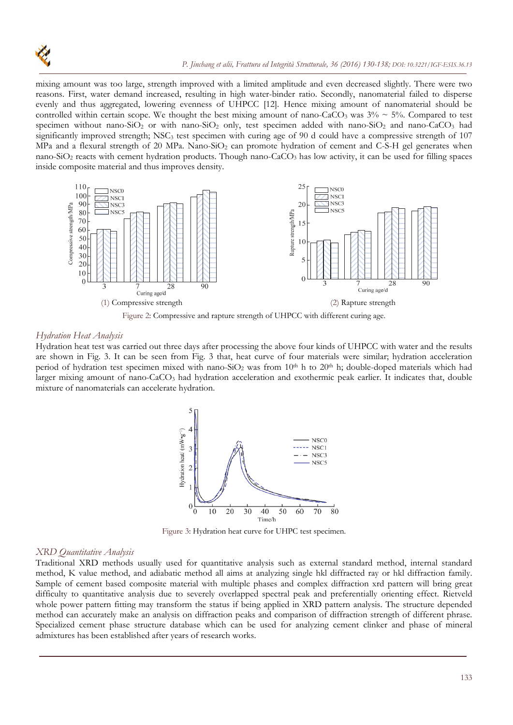

mixing amount was too large, strength improved with a limited amplitude and even decreased slightly. There were two reasons. First, water demand increased, resulting in high water-binder ratio. Secondly, nanomaterial failed to disperse evenly and thus aggregated, lowering evenness of UHPCC [12]. Hence mixing amount of nanomaterial should be controlled within certain scope. We thought the best mixing amount of nano-CaCO<sub>3</sub> was  $3\% \sim 5\%$ . Compared to test specimen without nano-SiO<sub>2</sub> or with nano-SiO<sub>2</sub> only, test specimen added with nano-SiO<sub>2</sub> and nano-CaCO<sub>3</sub> had significantly improved strength; NSC<sub>3</sub> test specimen with curing age of 90 d could have a compressive strength of  $107$ MPa and a flexural strength of 20 MPa. Nano-SiO<sub>2</sub> can promote hydration of cement and C-S-H gel generates when nano-SiO<sub>2</sub> reacts with cement hydration products. Though nano-CaCO<sub>3</sub> has low activity, it can be used for filling spaces inside composite material and thus improves density.





#### *Hydration Heat Analysis*

Hydration heat test was carried out three days after processing the above four kinds of UHPCC with water and the results are shown in Fig. 3. It can be seen from Fig. 3 that, heat curve of four materials were similar; hydration acceleration period of hydration test specimen mixed with nano-SiO<sub>2</sub> was from  $10<sup>th</sup>$  h to  $20<sup>th</sup>$  h; double-doped materials which had larger mixing amount of nano-CaCO<sub>3</sub> had hydration acceleration and exothermic peak earlier. It indicates that, double mixture of nanomaterials can accelerate hydration.



Figure 3: Hydration heat curve for UHPC test specimen.

#### *XRD Quantitative Analysis*

Traditional XRD methods usually used for quantitative analysis such as external standard method, internal standard method, K value method, and adiabatic method all aims at analyzing single hkl diffracted ray or hkl diffraction family. Sample of cement based composite material with multiple phases and complex diffraction xrd pattern will bring great difficulty to quantitative analysis due to severely overlapped spectral peak and preferentially orienting effect. Rietveld whole power pattern fitting may transform the status if being applied in XRD pattern analysis. The structure depended method can accurately make an analysis on diffraction peaks and comparison of diffraction strength of different phrase. Specialized cement phase structure database which can be used for analyzing cement clinker and phase of mineral admixtures has been established after years of research works.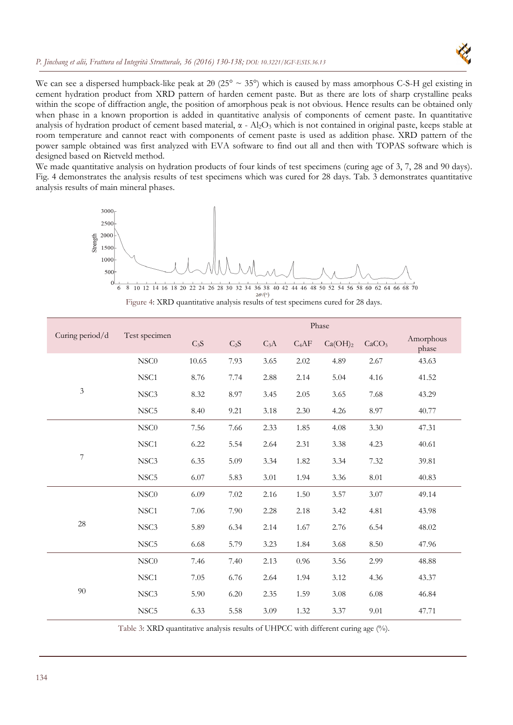

We can see a dispersed humpback-like peak at 20 (25°  $\sim$  35°) which is caused by mass amorphous C-S-H gel existing in cement hydration product from XRD pattern of harden cement paste. But as there are lots of sharp crystalline peaks within the scope of diffraction angle, the position of amorphous peak is not obvious. Hence results can be obtained only when phase in a known proportion is added in quantitative analysis of components of cement paste. In quantitative analysis of hydration product of cement based material,  $\alpha$  - Al<sub>2</sub>O<sub>3</sub> which is not contained in original paste, keeps stable at room temperature and cannot react with components of cement paste is used as addition phase. XRD pattern of the power sample obtained was first analyzed with EVA software to find out all and then with TOPAS software which is designed based on Rietveld method.

We made quantitative analysis on hydration products of four kinds of test specimens (curing age of 3, 7, 28 and 90 days). Fig. 4 demonstrates the analysis results of test specimens which was cured for 28 days. Tab. 3 demonstrates quantitative analysis results of main mineral phases.



Figure 4: XRD quantitative analysis results of test specimens cured for 28 days.

|                 |                  | Phase            |                  |                  |         |                     |                   |                    |
|-----------------|------------------|------------------|------------------|------------------|---------|---------------------|-------------------|--------------------|
| Curing period/d | Test specimen    | C <sub>3</sub> S | C <sub>2</sub> S | C <sub>3</sub> A | $C_4AF$ | Ca(OH) <sub>2</sub> | CaCO <sub>3</sub> | Amorphous<br>phase |
|                 | NSC <sub>0</sub> | 10.65            | 7.93             | 3.65             | 2.02    | 4.89                | 2.67              | 43.63              |
|                 | NSC <sub>1</sub> | 8.76             | 7.74             | 2.88             | 2.14    | 5.04                | 4.16              | 41.52              |
| $\mathfrak z$   | NSC <sub>3</sub> | 8.32             | 8.97             | 3.45             | 2.05    | 3.65                | 7.68              | 43.29              |
|                 | NSC <sub>5</sub> | 8.40             | 9.21             | 3.18             | 2.30    | 4.26                | 8.97              | 40.77              |
|                 | NSC <sub>0</sub> | 7.56             | 7.66             | 2.33             | 1.85    | 4.08                | 3.30              | 47.31              |
|                 | NSC1             | 6.22             | 5.54             | 2.64             | 2.31    | 3.38                | 4.23              | 40.61              |
| 7               | NSC <sub>3</sub> | 6.35             | 5.09             | 3.34             | 1.82    | 3.34                | 7.32              | 39.81              |
|                 | NSC <sub>5</sub> | 6.07             | 5.83             | 3.01             | 1.94    | 3.36                | 8.01              | 40.83              |
|                 | NSC0             | 6.09             | 7.02             | 2.16             | 1.50    | 3.57                | 3.07              | 49.14              |
|                 | NSC1             | 7.06             | 7.90             | 2.28             | 2.18    | 3.42                | 4.81              | 43.98              |
| 28              | NSC <sub>3</sub> | 5.89             | 6.34             | 2.14             | 1.67    | 2.76                | 6.54              | 48.02              |
|                 | NSC <sub>5</sub> | 6.68             | 5.79             | 3.23             | 1.84    | 3.68                | 8.50              | 47.96              |
|                 | NSC <sub>0</sub> | 7.46             | 7.40             | 2.13             | 0.96    | 3.56                | 2.99              | 48.88              |
|                 | NSC1             | 7.05             | 6.76             | 2.64             | 1.94    | 3.12                | 4.36              | 43.37              |
| $90\,$          | NSC <sub>3</sub> | 5.90             | 6.20             | 2.35             | 1.59    | 3.08                | 6.08              | 46.84              |
|                 | NSC <sub>5</sub> | 6.33             | 5.58             | 3.09             | 1.32    | 3.37                | 9.01              | 47.71              |

Table 3: XRD quantitative analysis results of UHPCC with different curing age (%).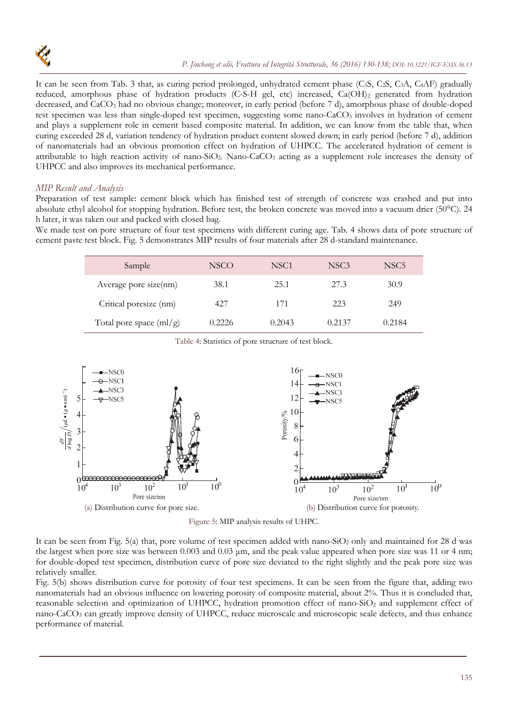

It can be seen from Tab. 3 that, as curing period prolonged, unhydrated cement phase  $(C_3S, C_2S, C_3A, C_4AF)$  gradually reduced, amorphous phase of hydration products (C-S-H gel, etc) increased, Ca(OH)<sub>2</sub> generated from hydration decreased, and CaCO3 had no obvious change; moreover, in early period (before 7 d), amorphous phase of double-doped test specimen was less than single-doped test specimen, suggesting some nano-CaCO<sub>3</sub> involves in hydration of cement and plays a supplement role in cement based composite material. In addition, we can know from the table that, when curing exceeded 28 d, variation tendency of hydration product content slowed down; in early period (before 7 d), addition of nanomaterials had an obvious promotion effect on hydration of UHPCC. The accelerated hydration of cement is attributable to high reaction activity of nano-SiO<sub>2</sub>. Nano-CaCO<sub>3</sub> acting as a supplement role increases the density of UHPCC and also improves its mechanical performance.

### *MIP Result and Analysis*

Preparation of test sample: cement block which has finished test of strength of concrete was crashed and put into absolute ethyl alcohol for stopping hydration. Before test, the broken concrete was moved into a vacuum drier (50°C). 24 h later, it was taken out and packed with closed bag.

We made test on pore structure of four test specimens with different curing age. Tab. 4 shows data of pore structure of cement paste test block. Fig. 5 demonstrates MIP results of four materials after 28 d-standard maintenance.

| Sample                                       | <b>NSCO</b> | NSC <sub>1</sub> | NSC <sub>3</sub> | NSC <sub>5</sub> |
|----------------------------------------------|-------------|------------------|------------------|------------------|
| Average pore size(nm)                        | 38.1        | 25.1             | 27.3             | 30.9             |
| Critical poresize (nm)                       | 427         | 171              | 223              | 249              |
| Total pore space $\left(\frac{ml}{g}\right)$ | 0.2226      | 0.2043           | 0.2137           | 0.2184           |



Table 4: Statistics of pore structure of test block.



It can be seen from Fig. 5(a) that, pore volume of test specimen added with nano-SiO<sub>2</sub> only and maintained for 28 d was the largest when pore size was between 0.003 and 0.03 μm, and the peak value appeared when pore size was 11 or 4 nm; for double-doped test specimen, distribution curve of pore size deviated to the right slightly and the peak pore size was relatively smaller.

Fig. 5(b) shows distribution curve for porosity of four test specimens. It can be seen from the figure that, adding two nanomaterials had an obvious influence on lowering porosity of composite material, about 2%. Thus it is concluded that, reasonable selection and optimization of UHPCC, hydration promotion effect of nano-SiO<sub>2</sub> and supplement effect of nano-CaCO3 can greatly improve density of UHPCC, reduce microscale and microscopic scale defects, and thus enhance performance of material.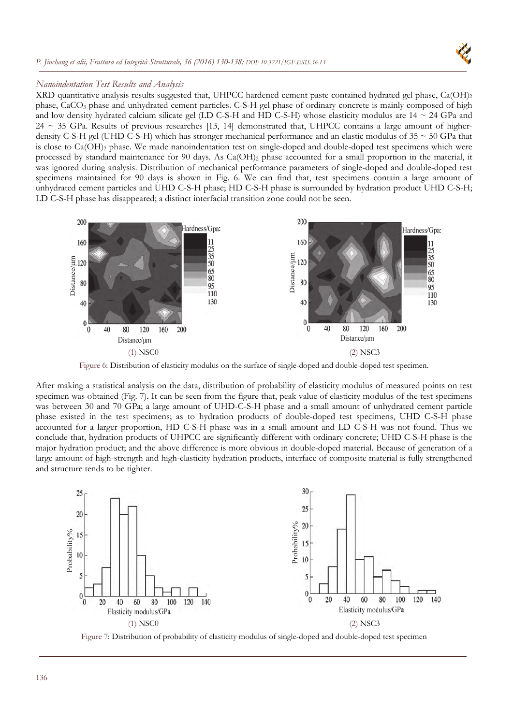



## *Nanoindentation Test Results and Analysis*

XRD quantitative analysis results suggested that, UHPCC hardened cement paste contained hydrated gel phase, Ca(OH)<sub>2</sub> phase, CaCO3 phase and unhydrated cement particles. C-S-H gel phase of ordinary concrete is mainly composed of high and low density hydrated calcium silicate gel (LD C-S-H and HD C-S-H) whose elasticity modulus are  $14 \sim 24$  GPa and  $24 \sim 35$  GPa. Results of previous researches [13, 14] demonstrated that, UHPCC contains a large amount of higherdensity C-S-H gel (UHD C-S-H) which has stronger mechanical performance and an elastic modulus of 35 ~ 50 GPa that is close to  $Ca(OH)_2$  phase. We made nanoindentation test on single-doped and double-doped test specimens which were processed by standard maintenance for 90 days. As Ca(OH)<sub>2</sub> phase accounted for a small proportion in the material, it was ignored during analysis. Distribution of mechanical performance parameters of single-doped and double-doped test specimens maintained for 90 days is shown in Fig. 6. We can find that, test specimens contain a large amount of unhydrated cement particles and UHD C-S-H phase; HD C-S-H phase is surrounded by hydration product UHD C-S-H; LD C-S-H phase has disappeared; a distinct interfacial transition zone could not be seen.



Figure 6: Distribution of elasticity modulus on the surface of single-doped and double-doped test specimen.

After making a statistical analysis on the data, distribution of probability of elasticity modulus of measured points on test specimen was obtained (Fig. 7). It can be seen from the figure that, peak value of elasticity modulus of the test specimens was between 30 and 70 GPa; a large amount of UHD-C-S-H phase and a small amount of unhydrated cement particle phase existed in the test specimens; as to hydration products of double-doped test specimens, UHD C-S-H phase accounted for a larger proportion, HD C-S-H phase was in a small amount and LD C-S-H was not found. Thus we conclude that, hydration products of UHPCC are significantly different with ordinary concrete; UHD C-S-H phase is the major hydration product; and the above difference is more obvious in double-doped material. Because of generation of a large amount of high-strength and high-elasticity hydration products, interface of composite material is fully strengthened and structure tends to be tighter.



Figure 7: Distribution of probability of elasticity modulus of single-doped and double-doped test specimen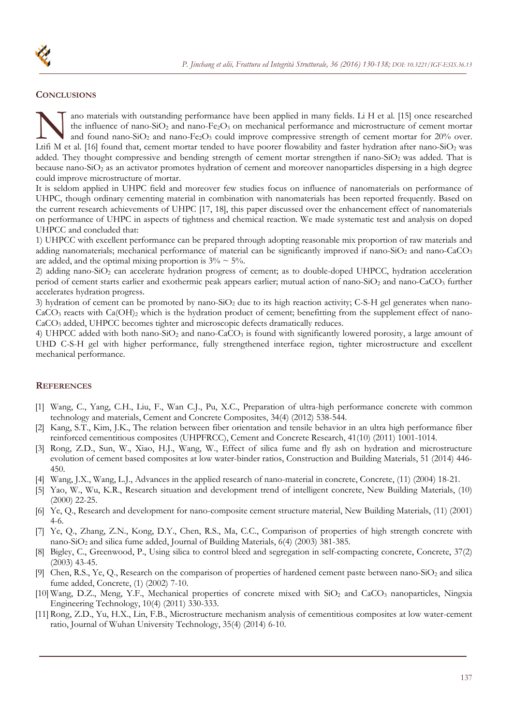# **CONCLUSIONS**

ano materials with outstanding performance have been applied in many fields. Li H et al. [15] once researched the influence of nano-SiO<sub>2</sub> and nano-Fe<sub>2</sub>O<sub>3</sub> on mechanical performance and microstructure of cement mortar and found nano-SiO<sub>2</sub> and nano-Fe<sub>2</sub>O<sub>3</sub> could improve compressive strength of cement mortar for  $20\%$  over. ano materials with outstanding performance have been applied in many fields. Li H et al. [15] once researched<br>the influence of nano-SiO<sub>2</sub> and nano-Fe<sub>2</sub>O<sub>3</sub> on mechanical performance and microstructure of cement mortar<br>L added. They thought compressive and bending strength of cement mortar strengthen if nano-SiO<sub>2</sub> was added. That is because nano-SiO<sub>2</sub> as an activator promotes hydration of cement and moreover nanoparticles dispersing in a high degree could improve microstructure of mortar.

It is seldom applied in UHPC field and moreover few studies focus on influence of nanomaterials on performance of UHPC, though ordinary cementing material in combination with nanomaterials has been reported frequently. Based on the current research achievements of UHPC [17, 18], this paper discussed over the enhancement effect of nanomaterials on performance of UHPC in aspects of tightness and chemical reaction. We made systematic test and analysis on doped UHPCC and concluded that:

1) UHPCC with excellent performance can be prepared through adopting reasonable mix proportion of raw materials and adding nanomaterials; mechanical performance of material can be significantly improved if nano-SiO<sub>2</sub> and nano-CaCO<sub>3</sub> are added, and the optimal mixing proportion is  $3\% \sim 5\%$ .

2) adding nano-SiO<sub>2</sub> can accelerate hydration progress of cement; as to double-doped UHPCC, hydration acceleration period of cement starts earlier and exothermic peak appears earlier; mutual action of nano-SiO<sub>2</sub> and nano-CaCO<sub>3</sub> further accelerates hydration progress.

3) hydration of cement can be promoted by nano-SiO<sub>2</sub> due to its high reaction activity; C-S-H gel generates when nano- $CaCO<sub>3</sub>$  reacts with  $Ca(OH)<sub>2</sub>$  which is the hydration product of cement; benefitting from the supplement effect of nano-CaCO3 added, UHPCC becomes tighter and microscopic defects dramatically reduces.

4) UHPCC added with both nano-SiO<sub>2</sub> and nano-CaCO<sub>3</sub> is found with significantly lowered porosity, a large amount of UHD C-S-H gel with higher performance, fully strengthened interface region, tighter microstructure and excellent mechanical performance.

## **REFERENCES**

- [1] Wang, C., Yang, C.H., Liu, F., Wan C.J., Pu, X.C., Preparation of ultra-high performance concrete with common technology and materials, Cement and Concrete Composites, 34(4) (2012) 538-544.
- [2] Kang, S.T., Kim, J.K., The relation between fiber orientation and tensile behavior in an ultra high performance fiber reinforced cementitious composites (UHPFRCC), Cement and Concrete Research, 41(10) (2011) 1001-1014.
- [3] Rong, Z.D., Sun, W., Xiao, H.J., Wang, W., Effect of silica fume and fly ash on hydration and microstructure evolution of cement based composites at low water-binder ratios, Construction and Building Materials, 51 (2014) 446- 450.
- [4] Wang, J.X., Wang, L.J., Advances in the applied research of nano-material in concrete, Concrete, (11) (2004) 18-21.
- [5] Yao, W., Wu, K.R., Research situation and development trend of intelligent concrete, New Building Materials, (10) (2000) 22-25.
- [6] Ye, Q., Research and development for nano-composite cement structure material, New Building Materials, (11) (2001) 4-6.
- [7] Ye, Q., Zhang, Z.N., Kong, D.Y., Chen, R.S., Ma, C.C., Comparison of properties of high strength concrete with nano-SiO2 and silica fume added, Journal of Building Materials, 6(4) (2003) 381-385.
- [8] Bigley, C., Greenwood, P., Using silica to control bleed and segregation in self-compacting concrete, Concrete, 37(2) (2003) 43-45.
- [9] Chen, R.S., Ye, Q., Research on the comparison of properties of hardened cement paste between nano-SiO<sub>2</sub> and silica fume added, Concrete, (1) (2002) 7-10.
- [10] Wang, D.Z., Meng, Y.F., Mechanical properties of concrete mixed with SiO<sub>2</sub> and CaCO<sub>3</sub> nanoparticles, Ningxia Engineering Technology, 10(4) (2011) 330-333.
- [11] Rong, Z.D., Yu, H.X., Lin, F.B., Microstructure mechanism analysis of cementitious composites at low water-cement ratio, Journal of Wuhan University Technology, 35(4) (2014) 6-10.